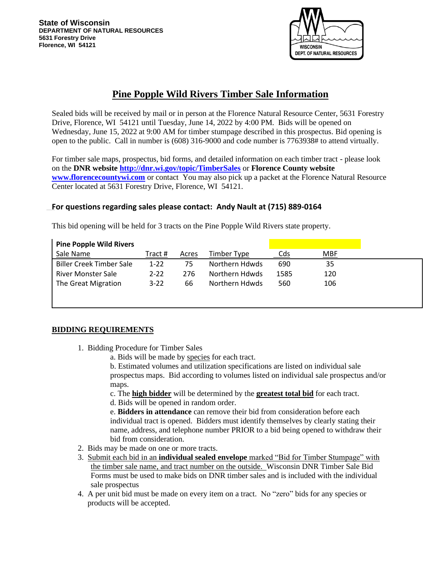

# **Pine Popple Wild Rivers Timber Sale Information**

Sealed bids will be received by mail or in person at the Florence Natural Resource Center, 5631 Forestry Drive, Florence, WI 54121 until Tuesday, June 14, 2022 by 4:00 PM. Bids will be opened on Wednesday, June 15, 2022 at 9:00 AM for timber stumpage described in this prospectus. Bid opening is open to the public. Call in number is (608) 316-9000 and code number is 7763938# to attend virtually.

For timber sale maps, prospectus, bid forms, and detailed information on each timber tract - please look on the **DNR website<http://dnr.wi.gov/topic/TimberSales>** or **Florence County website [www.florencecountywi.com](http://www.florencecountywi.com/)** or contactYou may also pick up a packet at the Florence Natural Resource Center located at 5631 Forestry Drive, Florence, WI 54121.

# **For questions regarding sales please contact: Andy Nault at (715) 889-0164**

This bid opening will be held for 3 tracts on the Pine Popple Wild Rivers state property.

| <b>Pine Popple Wild Rivers</b>  |          |       |                |      |            |
|---------------------------------|----------|-------|----------------|------|------------|
| Sale Name                       | Tract #  | Acres | Timber Type    | Cds  | <b>MBF</b> |
| <b>Biller Creek Timber Sale</b> | $1-22$   | 75    | Northern Hdwds | 690  | 35         |
| <b>River Monster Sale</b>       | $2 - 22$ | 276   | Northern Hdwds | 1585 | 120        |
| The Great Migration             | $3-22$   | 66    | Northern Hdwds | 560  | 106        |
|                                 |          |       |                |      |            |
|                                 |          |       |                |      |            |

# **BIDDING REQUIREMENTS**

1. Bidding Procedure for Timber Sales

a. Bids will be made by species for each tract.

b. Estimated volumes and utilization specifications are listed on individual sale prospectus maps. Bid according to volumes listed on individual sale prospectus and/or maps.

c. The **high bidder** will be determined by the **greatest total bid** for each tract.

d. Bids will be opened in random order.

e. **Bidders in attendance** can remove their bid from consideration before each individual tract is opened. Bidders must identify themselves by clearly stating their name, address, and telephone number PRIOR to a bid being opened to withdraw their bid from consideration.

- 2. Bids may be made on one or more tracts.
- 3. Submit each bid in an **individual sealed envelope** marked "Bid for Timber Stumpage" with the timber sale name, and tract number on the outside. Wisconsin DNR Timber Sale Bid Forms must be used to make bids on DNR timber sales and is included with the individual sale prospectus
- 4. A per unit bid must be made on every item on a tract. No "zero" bids for any species or products will be accepted.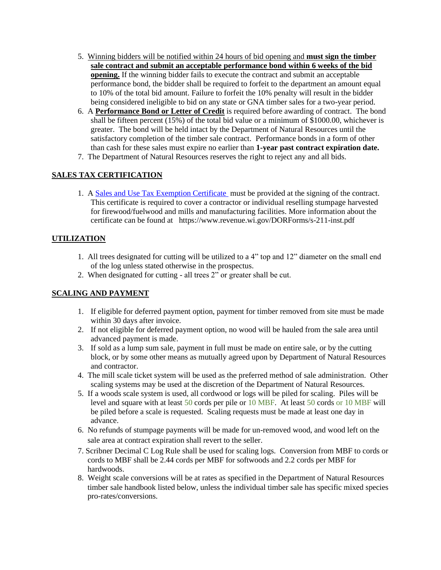- 5. Winning bidders will be notified within 24 hours of bid opening and **must sign the timber sale contract and submit an acceptable performance bond within 6 weeks of the bid opening.** If the winning bidder fails to execute the contract and submit an acceptable performance bond, the bidder shall be required to forfeit to the department an amount equal to 10% of the total bid amount. Failure to forfeit the 10% penalty will result in the bidder being considered ineligible to bid on any state or GNA timber sales for a two-year period.
- 6. A **Performance Bond or Letter of Credit** is required before awarding of contract. The bond shall be fifteen percent (15%) of the total bid value or a minimum of \$1000.00, whichever is greater. The bond will be held intact by the Department of Natural Resources until the satisfactory completion of the timber sale contract. Performance bonds in a form of other than cash for these sales must expire no earlier than **1-year past contract expiration date.**
- 7. The Department of Natural Resources reserves the right to reject any and all bids.

# **SALES TAX CERTIFICATION**

1. A [Sales and Use Tax Exemption Certificate](https://www.revenue.wi.gov/Pages/SalesAndUse/ExemptionCertificate.aspx) must be provided at the signing of the contract. This certificate is required to cover a contractor or individual reselling stumpage harvested for firewood/fuelwood and mills and manufacturing facilities. More information about the certificate can be found at https://www.revenue.wi.gov/DORForms/s-211-inst.pdf

# **UTILIZATION**

- 1. All trees designated for cutting will be utilized to a 4" top and 12" diameter on the small end of the log unless stated otherwise in the prospectus.
- 2. When designated for cutting all trees 2" or greater shall be cut.

# **SCALING AND PAYMENT**

- 1. If eligible for deferred payment option, payment for timber removed from site must be made within 30 days after invoice.
- 2. If not eligible for deferred payment option, no wood will be hauled from the sale area until advanced payment is made.
- 3. If sold as a lump sum sale, payment in full must be made on entire sale, or by the cutting block, or by some other means as mutually agreed upon by Department of Natural Resources and contractor.
- 4. The mill scale ticket system will be used as the preferred method of sale administration. Other scaling systems may be used at the discretion of the Department of Natural Resources.
- 5. If a woods scale system is used, all cordwood or logs will be piled for scaling. Piles will be level and square with at least 50 cords per pile or 10 MBF. At least 50 cords or 10 MBF will be piled before a scale is requested. Scaling requests must be made at least one day in advance.
- 6. No refunds of stumpage payments will be made for un-removed wood, and wood left on the sale area at contract expiration shall revert to the seller.
- 7. Scribner Decimal C Log Rule shall be used for scaling logs. Conversion from MBF to cords or cords to MBF shall be 2.44 cords per MBF for softwoods and 2.2 cords per MBF for hardwoods.
- 8. Weight scale conversions will be at rates as specified in the Department of Natural Resources timber sale handbook listed below, unless the individual timber sale has specific mixed species pro-rates/conversions.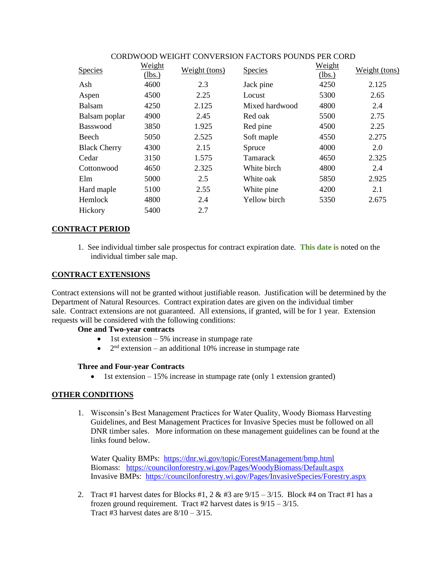| <b>Species</b>      | Weight<br>(lbs.) | Weight (tons) | <b>Species</b>  | Weight<br>(lbs.) | Weight (tons) |
|---------------------|------------------|---------------|-----------------|------------------|---------------|
| Ash                 | 4600             | 2.3           | Jack pine       | 4250             | 2.125         |
| Aspen               | 4500             | 2.25          | Locust          | 5300             | 2.65          |
| Balsam              | 4250             | 2.125         | Mixed hardwood  | 4800             | 2.4           |
| Balsam poplar       | 4900             | 2.45          | Red oak         | 5500             | 2.75          |
| Basswood            | 3850             | 1.925         | Red pine        | 4500             | 2.25          |
| Beech               | 5050             | 2.525         | Soft maple      | 4550             | 2.275         |
| <b>Black Cherry</b> | 4300             | 2.15          | Spruce          | 4000             | 2.0           |
| Cedar               | 3150             | 1.575         | <b>Tamarack</b> | 4650             | 2.325         |
| Cottonwood          | 4650             | 2.325         | White birch     | 4800             | 2.4           |
| Elm                 | 5000             | 2.5           | White oak       | 5850             | 2.925         |
| Hard maple          | 5100             | 2.55          | White pine      | 4200             | 2.1           |
| Hemlock             | 4800             | 2.4           | Yellow birch    | 5350             | 2.675         |
| Hickory             | 5400             | 2.7           |                 |                  |               |

#### CORDWOOD WEIGHT CONVERSION FACTORS POUNDS PER CORD

#### **CONTRACT PERIOD**

1. See individual timber sale prospectus for contract expiration date. **This date is** noted on the individual timber sale map.

#### **CONTRACT EXTENSIONS**

Contract extensions will not be granted without justifiable reason. Justification will be determined by the Department of Natural Resources. Contract expiration dates are given on the individual timber sale. Contract extensions are not guaranteed. All extensions, if granted, will be for 1 year*.* Extension requests will be considered with the following conditions:

#### **One and Two-year contracts**

- 1st extension  $-5\%$  increase in stumpage rate
- $2<sup>nd</sup>$  extension an additional 10% increase in stumpage rate

#### **Three and Four-year Contracts**

• 1st extension – 15% increase in stumpage rate (only 1 extension granted)

# **OTHER CONDITIONS**

1. Wisconsin's Best Management Practices for Water Quality, Woody Biomass Harvesting Guidelines, and Best Management Practices for Invasive Species must be followed on all DNR timber sales. More information on these management guidelines can be found at the links found below.

Water Quality BMPs: <https://dnr.wi.gov/topic/ForestManagement/bmp.html> Biomass: <https://councilonforestry.wi.gov/Pages/WoodyBiomass/Default.aspx> Invasive BMPs: <https://councilonforestry.wi.gov/Pages/InvasiveSpecies/Forestry.aspx>

2. Tract #1 harvest dates for Blocks #1,  $2 \& 43$  are  $9/15 - 3/15$ . Block #4 on Tract #1 has a frozen ground requirement. Tract #2 harvest dates is  $9/15 - 3/15$ . Tract #3 harvest dates are  $8/10 - 3/15$ .